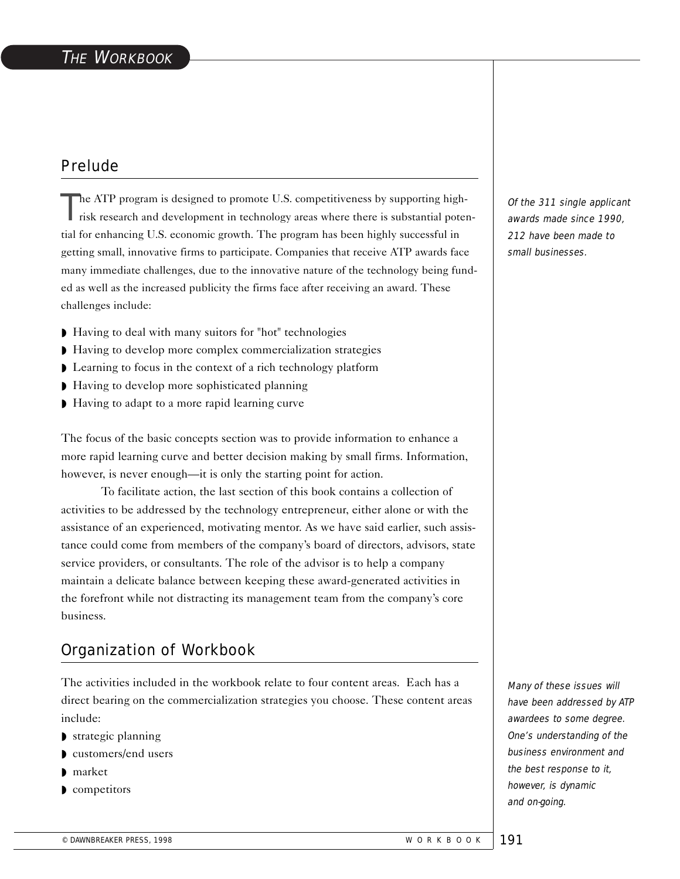# Prelude

The ATP program is designed to promote U.S. competitiveness by supporting highrisk research and development in technology areas where there is substantial potential for enhancing U.S. economic growth. The program has been highly successful in getting small, innovative firms to participate. Companies that receive ATP awards face many immediate challenges, due to the innovative nature of the technology being funded as well as the increased publicity the firms face after receiving an award. These challenges include:

- ◗ Having to deal with many suitors for "hot" technologies
- ◗ Having to develop more complex commercialization strategies
- ◗ Learning to focus in the context of a rich technology platform
- ◗ Having to develop more sophisticated planning
- ◗ Having to adapt to a more rapid learning curve

The focus of the basic concepts section was to provide information to enhance a more rapid learning curve and better decision making by small firms. Information, however, is never enough—it is only the starting point for action.

To facilitate action, the last section of this book contains a collection of activities to be addressed by the technology entrepreneur, either alone or with the assistance of an experienced, motivating mentor. As we have said earlier, such assistance could come from members of the company's board of directors, advisors, state service providers, or consultants. The role of the advisor is to help a company maintain a delicate balance between keeping these award-generated activities in the forefront while not distracting its management team from the company's core business.

### Organization of Workbook

The activities included in the workbook relate to four content areas. Each has a direct bearing on the commercialization strategies you choose. These content areas include:

- ◗ strategic planning
- ◗ customers/end users
- ◗ market
- ◗ competitors

Of the 311 single applicant awards made since 1990, 212 have been made to small businesses.

Many of these issues will have been addressed by ATP awardees to some degree. One's understanding of the business environment and the best response to it, however, is dynamic and on-going.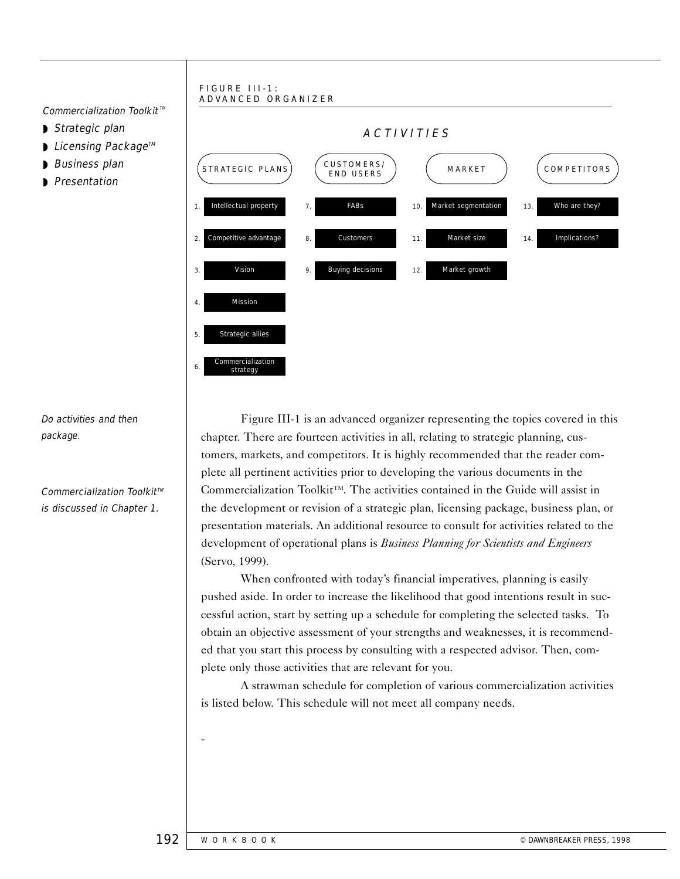#### FIGURE III-1: ADVANCED ORGANIZER

Commercialization Toolkit<sup> $M$ </sup>

- ◗ Strategic plan
- Licensing Package™
- ◗ Business plan
- ◗ Presentation



Do activities and then package.

 $Commercialization$  Toolkit<sup> $M$ </sup> is discussed in Chapter 1.

Figure III-1 is an advanced organizer representing the topics covered in this chapter. There are fourteen activities in all, relating to strategic planning, customers, markets, and competitors. It is highly recommended that the reader complete all pertinent activities prior to developing the various documents in the Commercialization Toolkit<sup>TM</sup>. The activities contained in the Guide will assist in the development or revision of a strategic plan, licensing package, business plan, or presentation materials. An additional resource to consult for activities related to the development of operational plans is *Business Planning for Scientists and Engineers*  (Servo, 1999).

When confronted with today's financial imperatives, planning is easily pushed aside. In order to increase the likelihood that good intentions result in successful action, start by setting up a schedule for completing the selected tasks. To obtain an objective assessment of your strengths and weaknesses, it is recommended that you start this process by consulting with a respected advisor. Then, complete only those activities that are relevant for you.

A strawman schedule for completion of various commercialization activities is listed below. This schedule will not meet all company needs.

-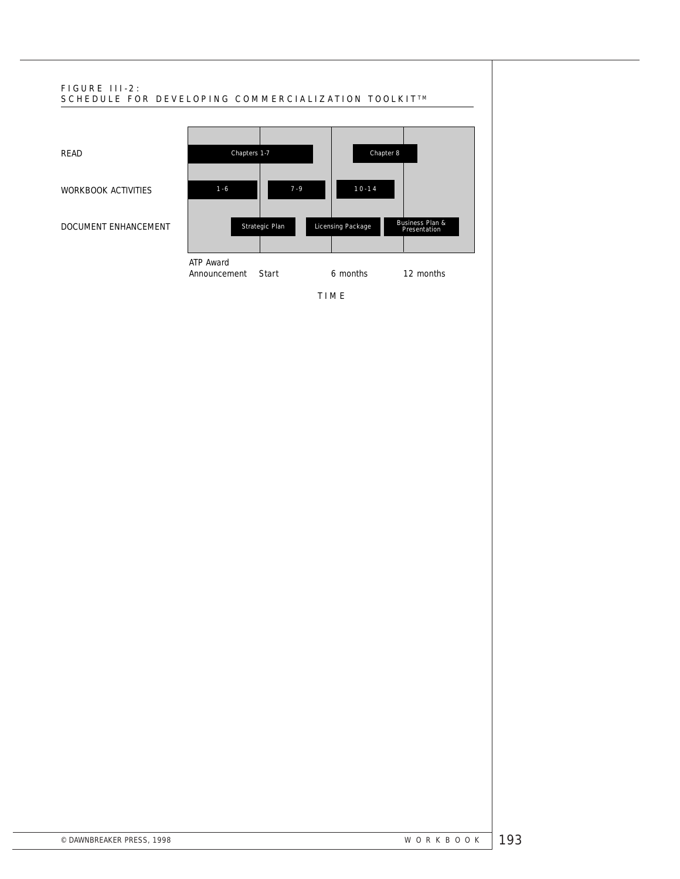

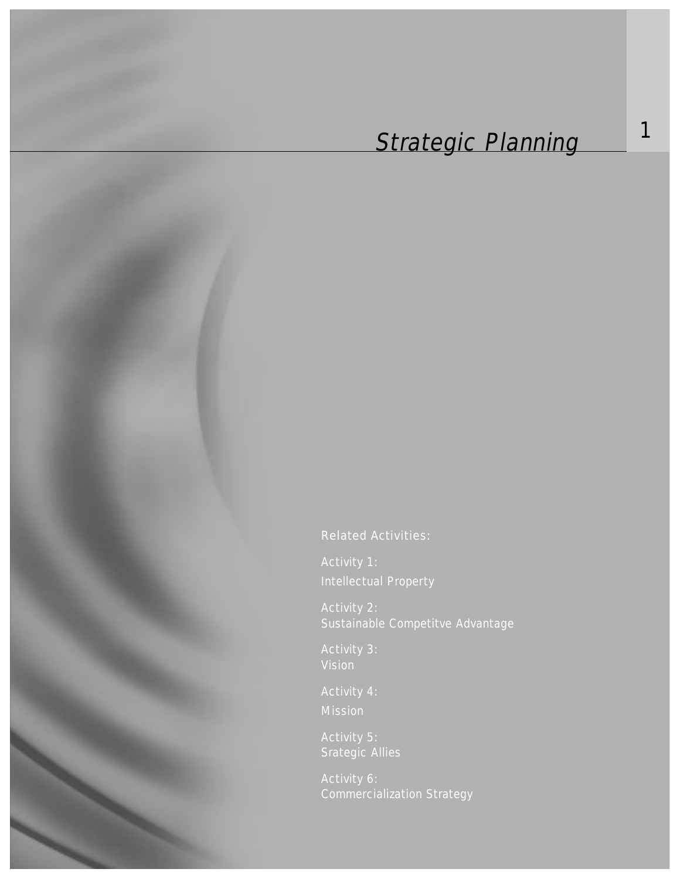# Strategic Planning 1

Related Activities:

Activity 1: Intellectual Property

Activity 2: Sustainable Competitve Advantage

Activity 3: Vision

Activity 4: Mission

Activity 5: Srategic Allies

Activity 6: Commercialization Strategy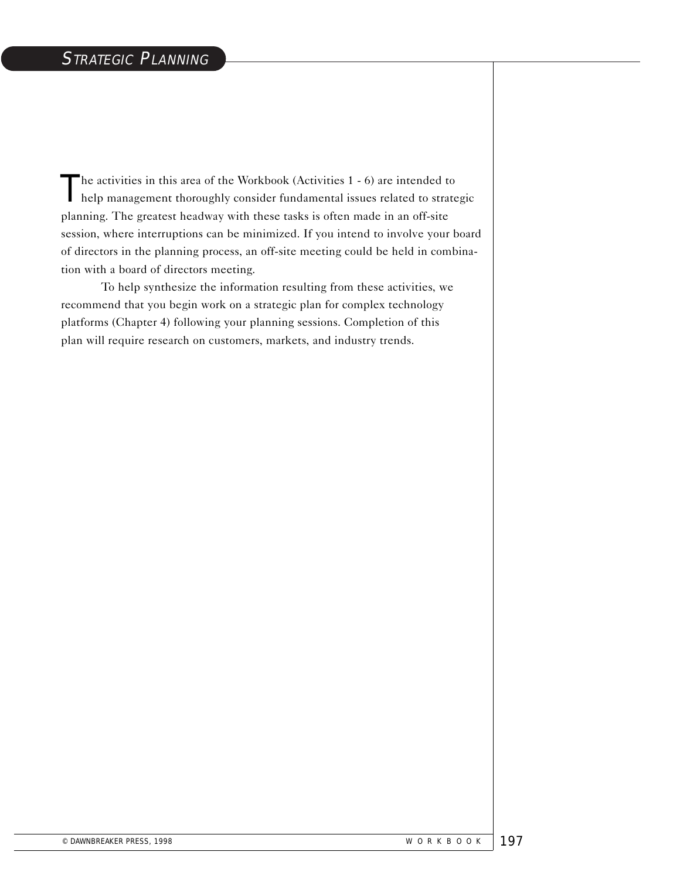The activities in this area of the Workbook (Activities 1 - 6) are intended to help management thoroughly consider fundamental issues related to strategic planning. The greatest headway with these tasks is often made in an off-site session, where interruptions can be minimized. If you intend to involve your board of directors in the planning process, an off-site meeting could be held in combination with a board of directors meeting.

To help synthesize the information resulting from these activities, we recommend that you begin work on a strategic plan for complex technology platforms (Chapter 4) following your planning sessions. Completion of this plan will require research on customers, markets, and industry trends.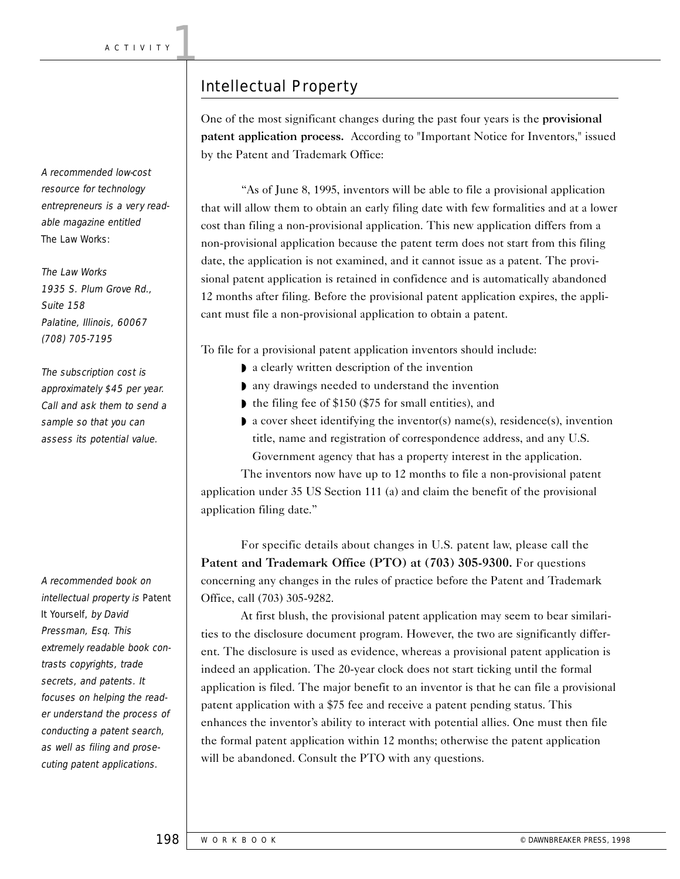# Intellectual Property

One of the most significant changes during the past four years is the provisional patent application process. According to "Important Notice for Inventors," issued by the Patent and Trademark Office:

"As of June 8, 1995, inventors will be able to file a provisional application that will allow them to obtain an early filing date with few formalities and at a lower cost than filing a non-provisional application. This new application differs from a non-provisional application because the patent term does not start from this filing date, the application is not examined, and it cannot issue as a patent. The provisional patent application is retained in confidence and is automatically abandoned 12 months after filing. Before the provisional patent application expires, the applicant must file a non-provisional application to obtain a patent.

To file for a provisional patent application inventors should include:

- ◗ a clearly written description of the invention
- ◗ any drawings needed to understand the invention
- ◗ the filing fee of \$150 (\$75 for small entities), and
- ◗ a cover sheet identifying the inventor(s) name(s), residence(s), invention title, name and registration of correspondence address, and any U.S.

Government agency that has a property interest in the application.

The inventors now have up to 12 months to file a non-provisional patent application under 35 US Section 111 (a) and claim the benefit of the provisional application filing date."

For specific details about changes in U.S. patent law, please call the Patent and Trademark Office (PTO) at (703) 305-9300. For questions concerning any changes in the rules of practice before the Patent and Trademark Office, call (703) 305-9282.

At first blush, the provisional patent application may seem to bear similarities to the disclosure document program. However, the two are significantly different. The disclosure is used as evidence, whereas a provisional patent application is indeed an application. The 20-year clock does not start ticking until the formal application is filed. The major benefit to an inventor is that he can file a provisional patent application with a \$75 fee and receive a patent pending status. This enhances the inventor's ability to interact with potential allies. One must then file the formal patent application within 12 months; otherwise the patent application will be abandoned. Consult the PTO with any questions.

A recommended low-cost resource for technology entrepreneurs is a very readable magazine entitled The Law Works:

The Law Works 1935 S. Plum Grove Rd., Suite 158 Palatine, Illinois, 60067 (708) 705-7195

The subscription cost is approximately \$45 per year. Call and ask them to send a sample so that you can assess its potential value.

A recommended book on intellectual property is Patent It Yourself, by David Pressman, Esq. This extremely readable book contrasts copyrights, trade secrets, and patents. It focuses on helping the reader understand the process of conducting a patent search, as well as filing and prosecuting patent applications.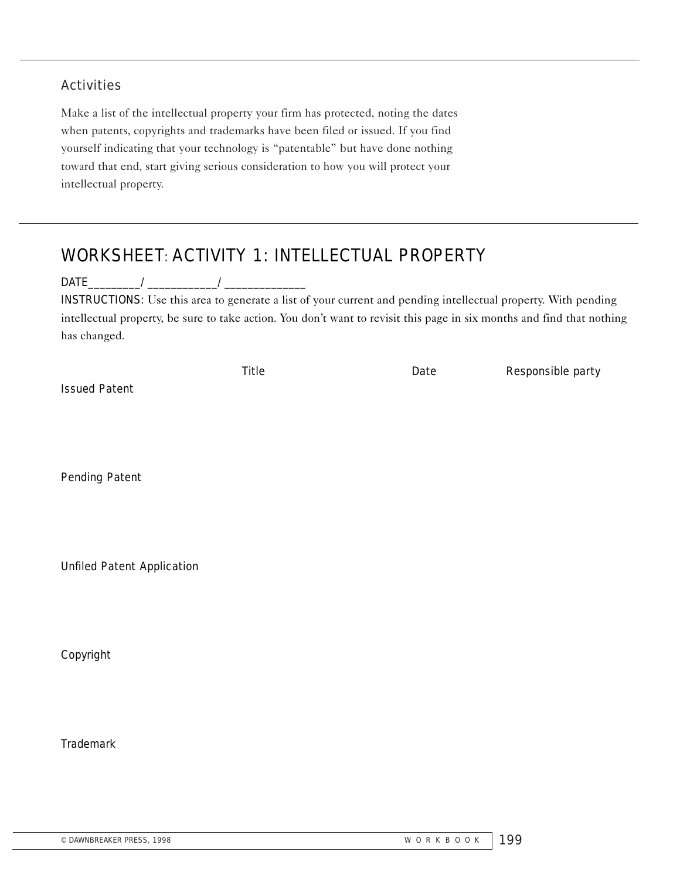#### **Activities**

Make a list of the intellectual property your firm has protected, noting the dates when patents, copyrights and trademarks have been filed or issued. If you find yourself indicating that your technology is "patentable" but have done nothing toward that end, start giving serious consideration to how you will protect your intellectual property.

# WORKSHEET: ACTIVITY 1: INTELLECTUAL PROPERTY

 $\mathsf{DATE} \hspace{0.5cm} \begin{picture}(10,10) \put(0,0){\line(1,0){150}} \put(10,0){\line(1,0){150}} \put(10,0){\line(1,0){150}} \put(10,0){\line(1,0){150}} \put(10,0){\line(1,0){150}} \put(10,0){\line(1,0){150}} \put(10,0){\line(1,0){150}} \put(10,0){\line(1,0){150}} \put(10,0){\line(1,0){150}} \put(10,0){\line(1,0){150}} \put(1$ 

INSTRUCTIONS: Use this area to generate a list of your current and pending intellectual property. With pending intellectual property, be sure to take action. You don't want to revisit this page in six months and find that nothing has changed.

|                      | <b>Title</b> | Date | <b>Responsible party</b> |
|----------------------|--------------|------|--------------------------|
| <b>Issued Patent</b> |              |      |                          |

Pending Patent

Unfiled Patent Application

Copyright

**Trademark**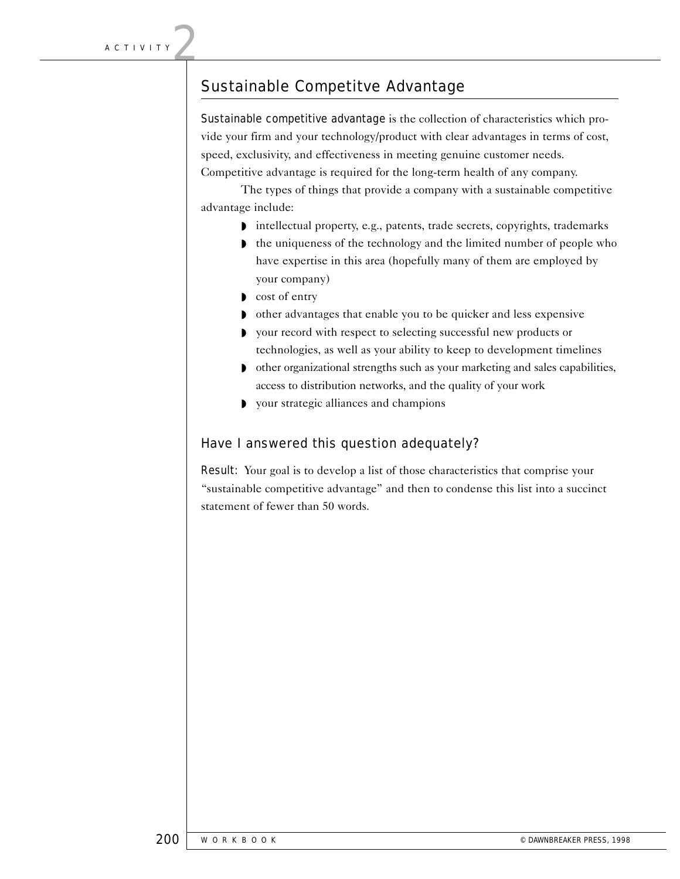### Sustainable Competitve Advantage

Sustainable competitive advantage is the collection of characteristics which provide your firm and your technology/product with clear advantages in terms of cost, speed, exclusivity, and effectiveness in meeting genuine customer needs. Competitive advantage is required for the long-term health of any company.

The types of things that provide a company with a sustainable competitive advantage include:

- ◗ intellectual property, e.g., patents, trade secrets, copyrights, trademarks
- ◗ the uniqueness of the technology and the limited number of people who have expertise in this area (hopefully many of them are employed by your company)
- ◗ cost of entry
- ◗ other advantages that enable you to be quicker and less expensive
- ◗ your record with respect to selecting successful new products or technologies, as well as your ability to keep to development timelines
- other organizational strengths such as your marketing and sales capabilities, access to distribution networks, and the quality of your work
- ◗ your strategic alliances and champions

#### Have I answered this question adequately?

Result: Your goal is to develop a list of those characteristics that comprise your "sustainable competitive advantage" and then to condense this list into a succinct statement of fewer than 50 words.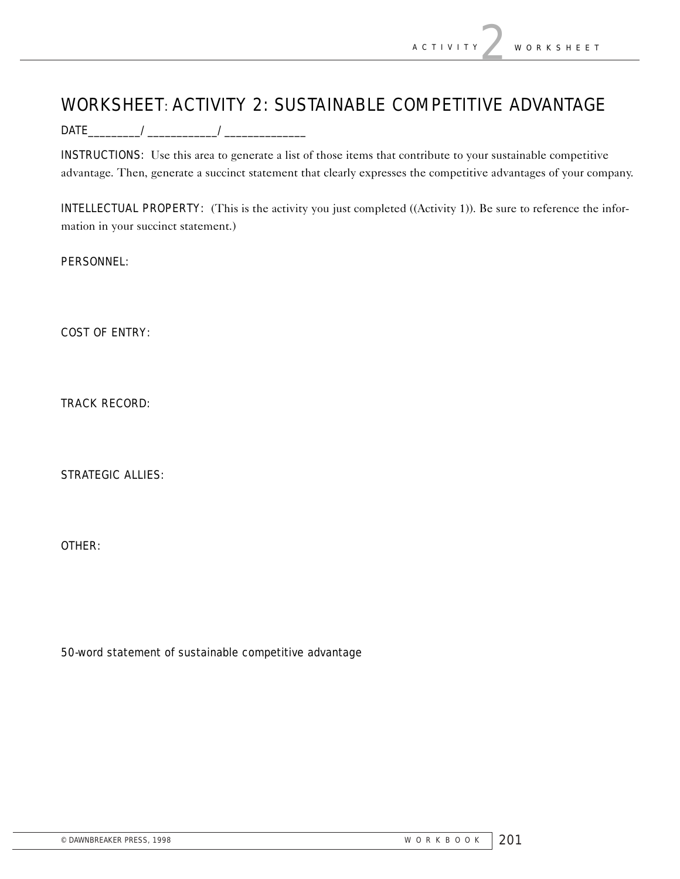# WORKSHEET: ACTIVITY 2: SUSTAINABLE COMPETITIVE ADVANTAGE

DATE\_\_\_\_\_\_\_\_\_/\_\_\_\_\_\_\_\_\_\_\_\_/\_\_\_\_\_\_\_\_\_\_\_\_\_\_

INSTRUCTIONS: Use this area to generate a list of those items that contribute to your sustainable competitive advantage. Then, generate a succinct statement that clearly expresses the competitive advantages of your company.

INTELLECTUAL PROPERTY: (This is the activity you just completed ((Activity 1)). Be sure to reference the information in your succinct statement.)

PERSONNEL:

COST OF ENTRY:

TRACK RECORD:

STRATEGIC ALLIES:

OTHER:

50-word statement of sustainable competitive advantage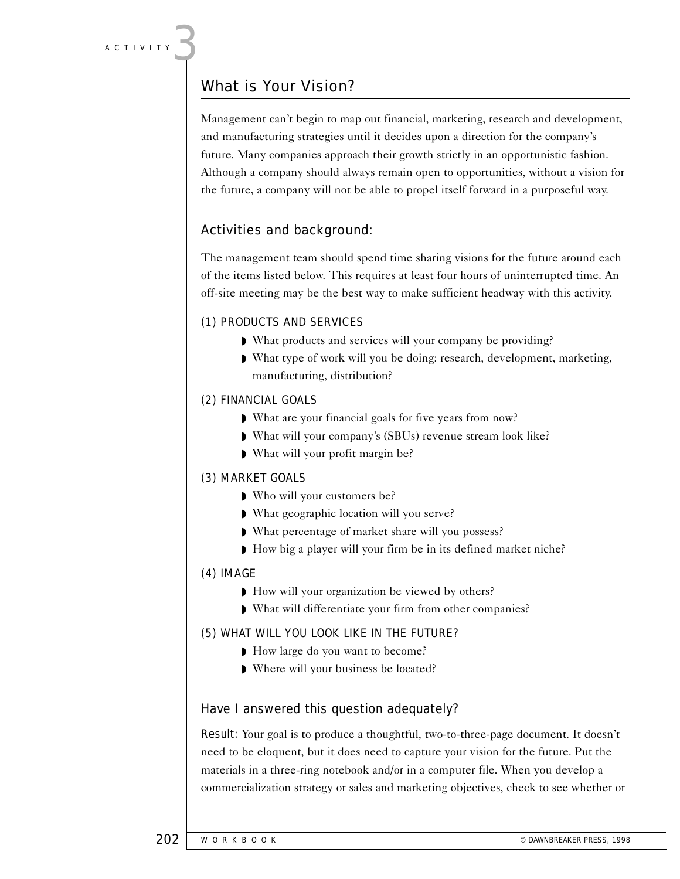# What is Your Vision?

Management can't begin to map out financial, marketing, research and development, and manufacturing strategies until it decides upon a direction for the company's future. Many companies approach their growth strictly in an opportunistic fashion. Although a company should always remain open to opportunities, without a vision for the future, a company will not be able to propel itself forward in a purposeful way.

### Activities and background:

The management team should spend time sharing visions for the future around each of the items listed below. This requires at least four hours of uninterrupted time. An off-site meeting may be the best way to make sufficient headway with this activity.

#### (1) PRODUCTS AND SERVICES

- ◗ What products and services will your company be providing?
- ◗ What type of work will you be doing: research, development, marketing, manufacturing, distribution?

#### (2) FINANCIAL GOALS

- ◗ What are your financial goals for five years from now?
- ◗ What will your company's (SBUs) revenue stream look like?
- ◗ What will your profit margin be?

#### (3) MARKET GOALS

- ◗ Who will your customers be?
- ◗ What geographic location will you serve?
- ◗ What percentage of market share will you possess?
- ◗ How big a player will your firm be in its defined market niche?

#### (4) IMAGE

- ◗ How will your organization be viewed by others?
- ◗ What will differentiate your firm from other companies?

#### (5) WHAT WILL YOU LOOK LIKE IN THE FUTURE?

- ◗ How large do you want to become?
- ◗ Where will your business be located?

#### Have I answered this question adequately?

Result: Your goal is to produce a thoughtful, two-to-three-page document. It doesn't need to be eloquent, but it does need to capture your vision for the future. Put the materials in a three-ring notebook and/or in a computer file. When you develop a commercialization strategy or sales and marketing objectives, check to see whether or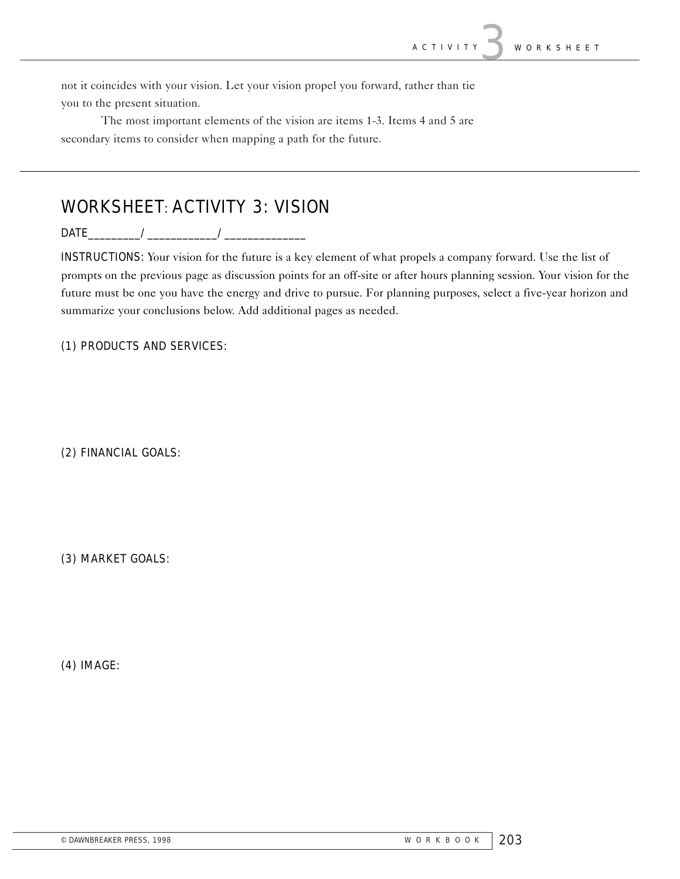not it coincides with your vision. Let your vision propel you forward, rather than tie you to the present situation.

The most important elements of the vision are items 1-3. Items 4 and 5 are secondary items to consider when mapping a path for the future.

# WORKSHEET: ACTIVITY 3: VISION

DATE\_\_\_\_\_\_\_\_\_/\_\_\_\_\_\_\_\_\_\_\_\_/\_\_\_\_\_\_\_\_\_\_\_\_\_\_

INSTRUCTIONS: Your vision for the future is a key element of what propels a company forward. Use the list of prompts on the previous page as discussion points for an off-site or after hours planning session. Your vision for the future must be one you have the energy and drive to pursue. For planning purposes, select a five-year horizon and summarize your conclusions below. Add additional pages as needed.

(1) PRODUCTS AND SERVICES:

(2) FINANCIAL GOALS:

(3) MARKET GOALS:

(4) IMAGE: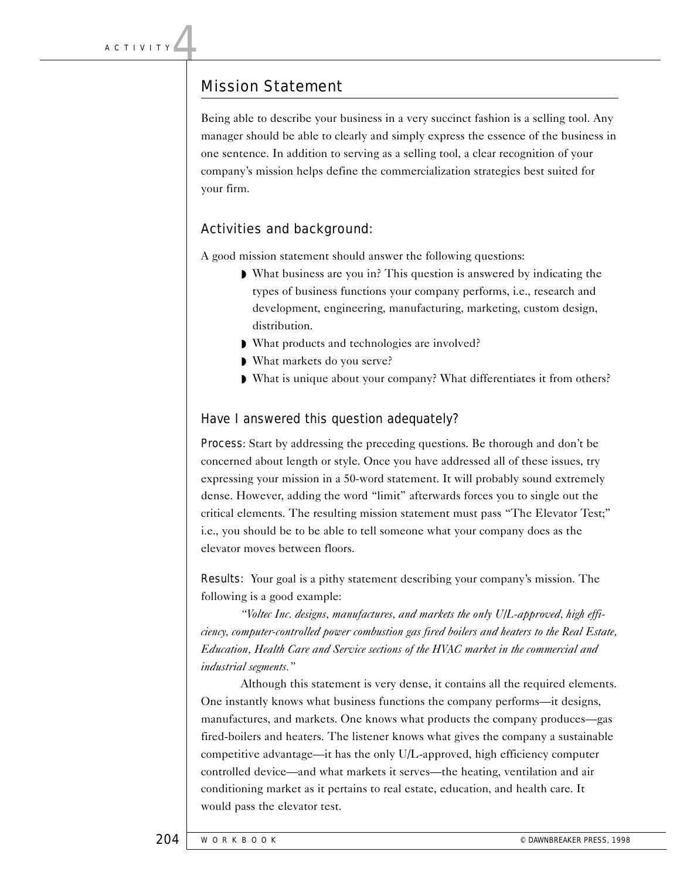### Mission Statement

Being able to describe your business in a very succinct fashion is a selling tool. Any manager should be able to clearly and simply express the essence of the business in one sentence. In addition to serving as a selling tool, a clear recognition of your company's mission helps define the commercialization strategies best suited for your firm.

### Activities and background:

A good mission statement should answer the following questions:

- ◗ What business are you in? This question is answered by indicating the types of business functions your company performs, i.e., research and development, engineering, manufacturing, marketing, custom design, distribution.
- ◗ What products and technologies are involved?
- ◗ What markets do you serve?
- ◗ What is unique about your company? What differentiates it from others?

#### Have I answered this question adequately?

Process: Start by addressing the preceding questions. Be thorough and don't be concerned about length or style. Once you have addressed all of these issues, try expressing your mission in a 50-word statement. It will probably sound extremely dense. However, adding the word "limit" afterwards forces you to single out the critical elements. The resulting mission statement must pass "The Elevator Test;" i.e., you should be to be able to tell someone what your company does as the elevator moves between floors.

Results: Your goal is a pithy statement describing your company's mission. The following is a good example:

*"Voltec Inc. designs, manufactures, and markets the only U/L-approved, high efficiency, computer-controlled power combustion gas fired boilers and heaters to the Real Estate, Education, Health Care and Service sections of the HVAC market in the commercial and industrial segments."* 

Although this statement is very dense, it contains all the required elements. One instantly knows what business functions the company performs—it designs, manufactures, and markets. One knows what products the company produces—gas fired-boilers and heaters. The listener knows what gives the company a sustainable competitive advantage—it has the only U/L-approved, high efficiency computer controlled device—and what markets it serves—the heating, ventilation and air conditioning market as it pertains to real estate, education, and health care. It would pass the elevator test.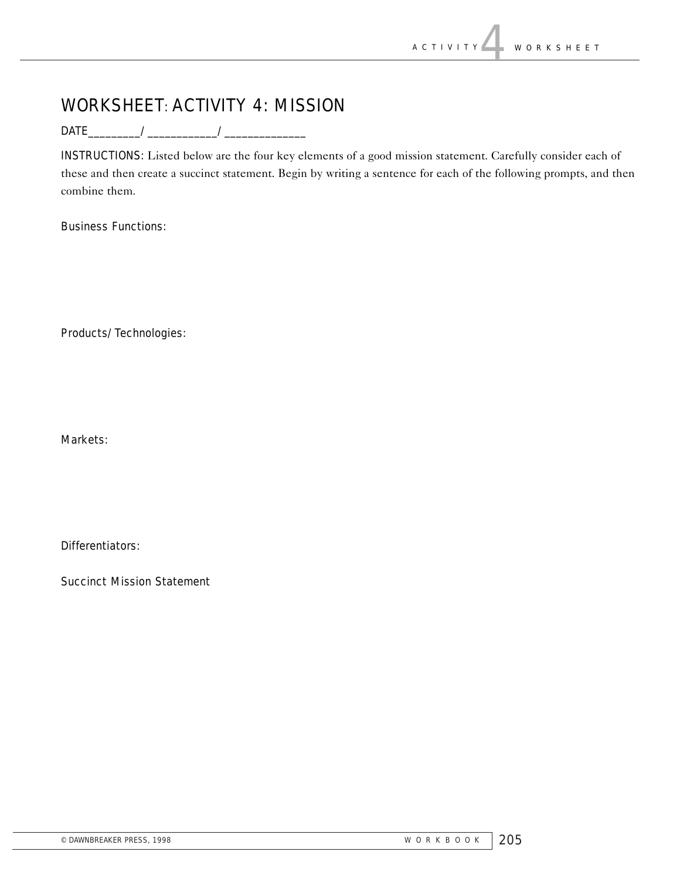# WORKSHEET: ACTIVITY 4: MISSION

DATE\_\_\_\_\_\_\_\_\_/\_\_\_\_\_\_\_\_\_\_\_\_/\_\_\_\_\_\_\_\_\_\_\_\_\_\_

INSTRUCTIONS: Listed below are the four key elements of a good mission statement. Carefully consider each of these and then create a succinct statement. Begin by writing a sentence for each of the following prompts, and then combine them.

Business Functions:

Products/Technologies:

Markets:

Differentiators:

Succinct Mission Statement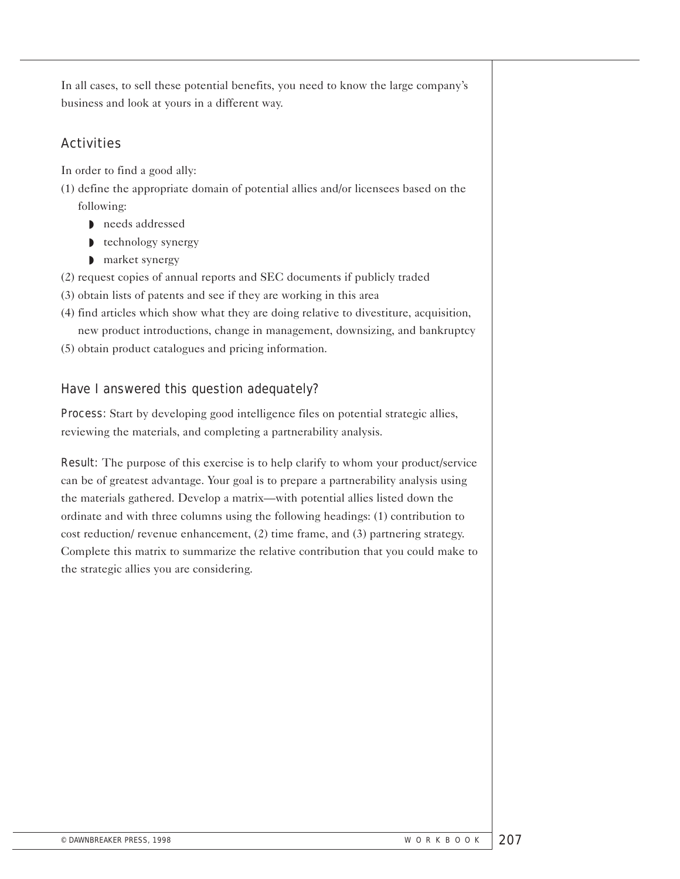In all cases, to sell these potential benefits, you need to know the large company's business and look at yours in a different way.

### **Activities**

In order to find a good ally:

- (1) define the appropriate domain of potential allies and/or licensees based on the following:
	- ◗ needs addressed
	- technology synergy
	- ◗ market synergy
- (2) request copies of annual reports and SEC documents if publicly traded
- (3) obtain lists of patents and see if they are working in this area
- (4) find articles which show what they are doing relative to divestiture, acquisition, new product introductions, change in management, downsizing, and bankruptcy
- (5) obtain product catalogues and pricing information.

### Have I answered this question adequately?

Process: Start by developing good intelligence files on potential strategic allies, reviewing the materials, and completing a partnerability analysis.

Result: The purpose of this exercise is to help clarify to whom your product/service can be of greatest advantage. Your goal is to prepare a partnerability analysis using the materials gathered. Develop a matrix—with potential allies listed down the ordinate and with three columns using the following headings: (1) contribution to cost reduction/ revenue enhancement, (2) time frame, and (3) partnering strategy. Complete this matrix to summarize the relative contribution that you could make to the strategic allies you are considering.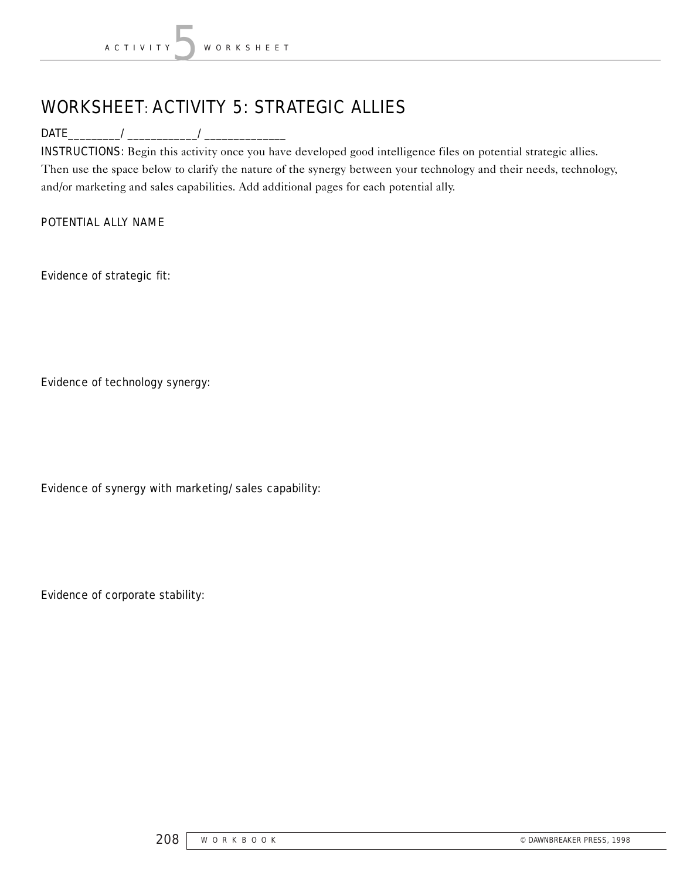# WORKSHEET: ACTIVITY 5: STRATEGIC ALLIES

DATE\_\_\_\_\_\_\_\_\_/\_\_\_\_\_\_\_\_\_\_\_\_/\_\_\_\_\_\_\_\_\_\_\_\_\_\_

INSTRUCTIONS: Begin this activity once you have developed good intelligence files on potential strategic allies. Then use the space below to clarify the nature of the synergy between your technology and their needs, technology, and/or marketing and sales capabilities. Add additional pages for each potential ally.

#### POTENTIAL ALLY NAME

Evidence of strategic fit:

Evidence of technology synergy:

Evidence of synergy with marketing/sales capability:

Evidence of corporate stability: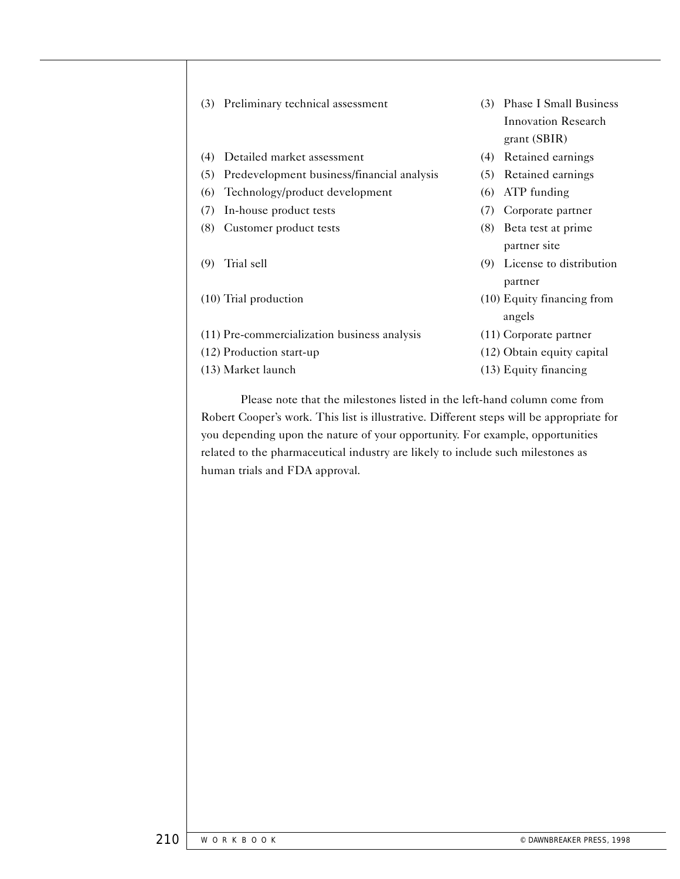|     | (3) Preliminary technical assessment           |     | (3) Phase I Small Business<br><b>Innovation Research</b><br>grant(SBIR) |
|-----|------------------------------------------------|-----|-------------------------------------------------------------------------|
| (4) | Detailed market assessment                     | (4) | Retained earnings                                                       |
|     | (5) Predevelopment business/financial analysis |     | (5) Retained earnings                                                   |
|     | (6) Technology/product development             | (6) | ATP funding                                                             |
|     | (7) In-house product tests                     | (7) | Corporate partner                                                       |
|     | (8) Customer product tests                     |     | (8) Beta test at prime<br>partner site                                  |
| (9) | Trial sell                                     | (9) | License to distribution<br>partner                                      |
|     | (10) Trial production                          |     | (10) Equity financing from<br>angels                                    |
|     | (11) Pre-commercialization business analysis   |     | (11) Corporate partner                                                  |
|     | (12) Production start-up                       |     | (12) Obtain equity capital                                              |
|     | (13) Market launch                             |     | (13) Equity financing                                                   |
|     |                                                |     |                                                                         |

Please note that the milestones listed in the left-hand column come from Robert Cooper's work. This list is illustrative. Different steps will be appropriate for you depending upon the nature of your opportunity. For example, opportunities related to the pharmaceutical industry are likely to include such milestones as human trials and FDA approval.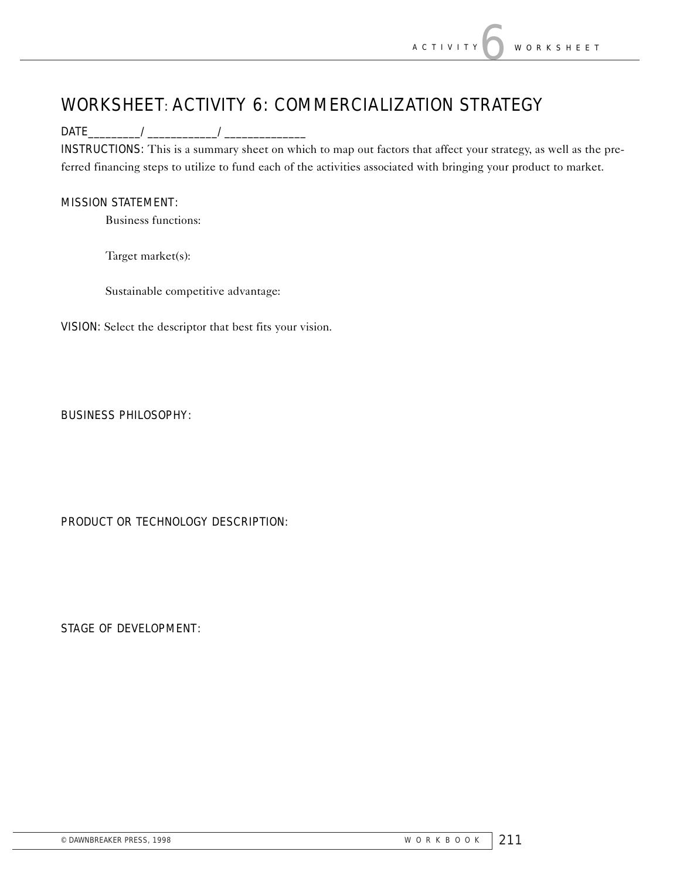# WORKSHEET: ACTIVITY 6: COMMERCIALIZATION STRATEGY

DATE\_\_\_\_\_\_\_\_\_/\_\_\_\_\_\_\_\_\_\_\_\_/\_\_\_\_\_\_\_\_\_\_\_\_\_\_

INSTRUCTIONS: This is a summary sheet on which to map out factors that affect your strategy, as well as the preferred financing steps to utilize to fund each of the activities associated with bringing your product to market.

#### MISSION STATEMENT:

Business functions:

Target market(s):

Sustainable competitive advantage:

VISION: Select the descriptor that best fits your vision.

#### BUSINESS PHILOSOPHY:

PRODUCT OR TECHNOLOGY DESCRIPTION:

STAGE OF DEVELOPMENT: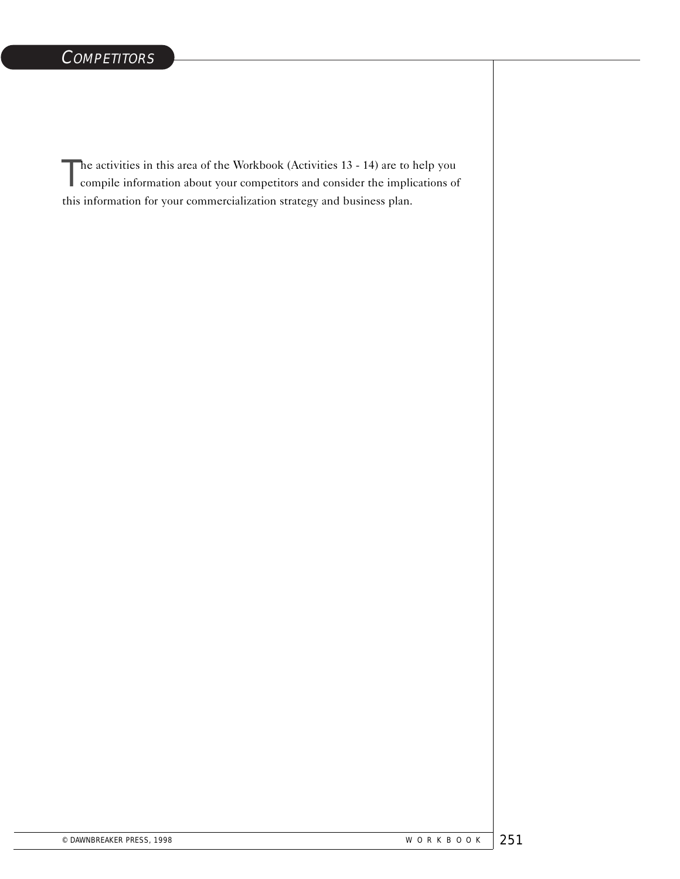The activities in this area of the Workbook (Activities 13 - 14) are to help you<br>compile information about your competitors and consider the implications of compile information about your competitors and consider the implications of this information for your commercialization strategy and business plan.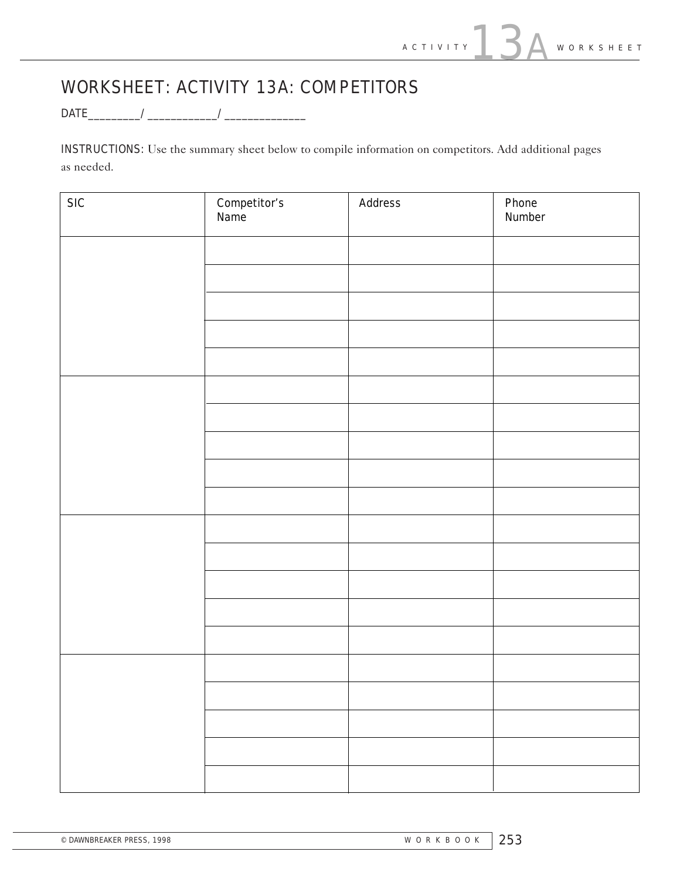# WORKSHEET: ACTIVITY 13A: COMPETITORS

DATE\_\_\_\_\_\_\_\_\_/\_\_\_\_\_\_\_\_\_\_\_\_/\_\_\_\_\_\_\_\_\_\_\_\_\_\_

INSTRUCTIONS: Use the summary sheet below to compile information on competitors. Add additional pages as needed.

| <b>SIC</b> | <b>Competitor's</b><br>Name | <b>Address</b> | <b>Phone</b><br>Number |
|------------|-----------------------------|----------------|------------------------|
|            |                             |                |                        |
|            |                             |                |                        |
|            |                             |                |                        |
|            |                             |                |                        |
|            |                             |                |                        |
|            |                             |                |                        |
|            |                             |                |                        |
|            |                             |                |                        |
|            |                             |                |                        |
|            |                             |                |                        |
|            |                             |                |                        |
|            |                             |                |                        |
|            |                             |                |                        |
|            |                             |                |                        |
|            |                             |                |                        |
|            |                             |                |                        |
|            |                             |                |                        |
|            |                             |                |                        |
|            |                             |                |                        |
|            |                             |                |                        |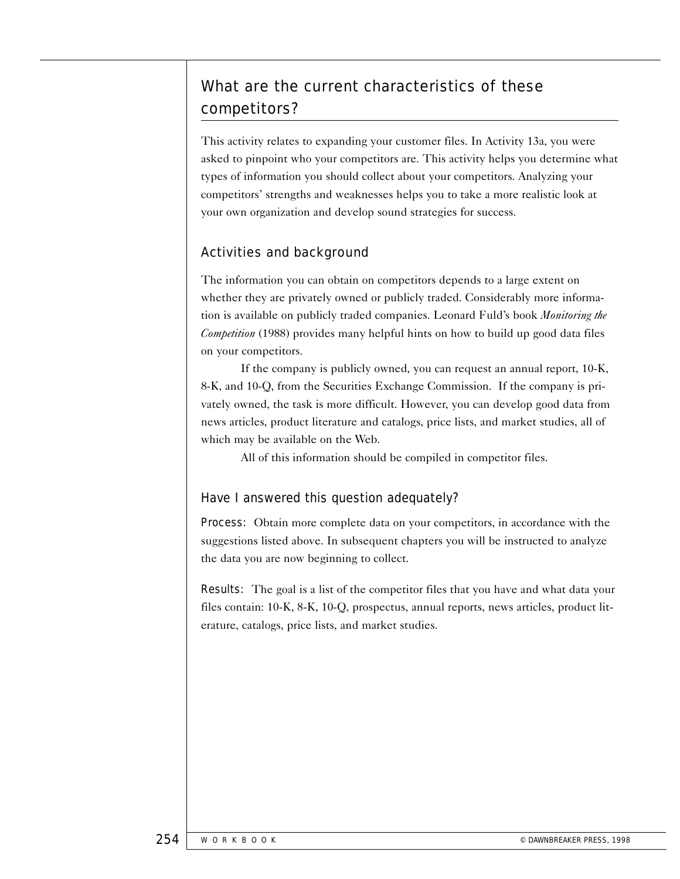# What are the current characteristics of these competitors?

This activity relates to expanding your customer files. In Activity 13a, you were asked to pinpoint who your competitors are. This activity helps you determine what types of information you should collect about your competitors. Analyzing your competitors' strengths and weaknesses helps you to take a more realistic look at your own organization and develop sound strategies for success.

# Activities and background

The information you can obtain on competitors depends to a large extent on whether they are privately owned or publicly traded. Considerably more information is available on publicly traded companies. Leonard Fuld's book *Monitoring the Competition* (1988) provides many helpful hints on how to build up good data files on your competitors.

If the company is publicly owned, you can request an annual report, 10-K, 8-K, and 10-Q, from the Securities Exchange Commission. If the company is privately owned, the task is more difficult. However, you can develop good data from news articles, product literature and catalogs, price lists, and market studies, all of which may be available on the Web.

All of this information should be compiled in competitor files.

#### Have I answered this question adequately?

Process: Obtain more complete data on your competitors, in accordance with the suggestions listed above. In subsequent chapters you will be instructed to analyze the data you are now beginning to collect.

Results: The goal is a list of the competitor files that you have and what data your files contain: 10-K, 8-K, 10-Q, prospectus, annual reports, news articles, product literature, catalogs, price lists, and market studies.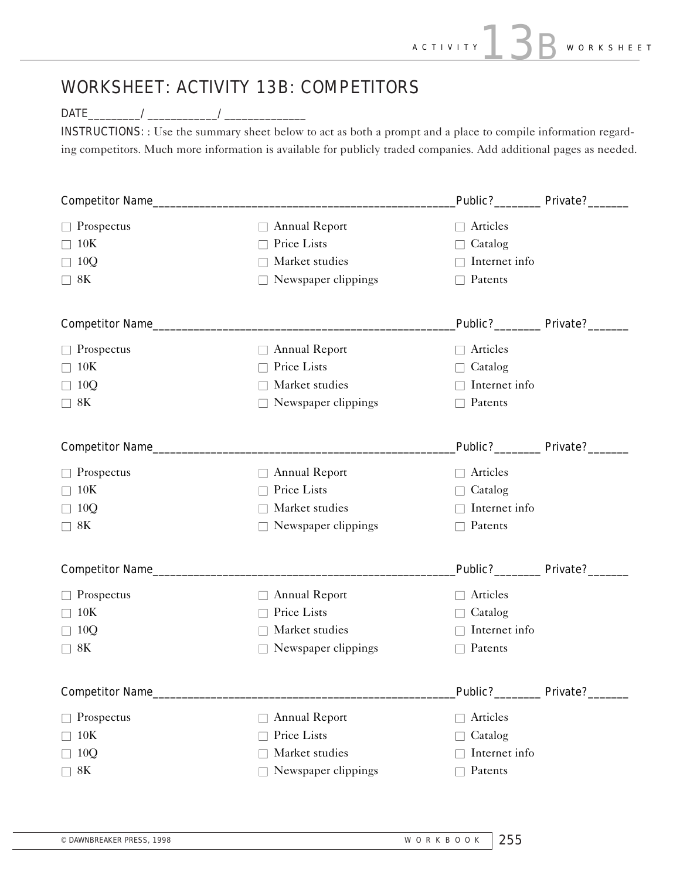# WORKSHEET: ACTIVITY 13B: COMPETITORS

### DATE\_\_\_\_\_\_\_\_\_/\_\_\_\_\_\_\_\_\_\_\_\_/\_\_\_\_\_\_\_\_\_\_\_\_\_\_

INSTRUCTIONS: : Use the summary sheet below to act as both a prompt and a place to compile information regarding competitors. Much more information is available for publicly traded companies. Add additional pages as needed.

|                            |                            |                                | Public? Private?                  |
|----------------------------|----------------------------|--------------------------------|-----------------------------------|
| $\Box$ Prospectus          | □ Annual Report            | $\Box$ Articles                |                                   |
| 10K                        | Price Lists<br>$\perp$     | $\Box$ Catalog                 |                                   |
| 10Q                        | Market studies<br>$\perp$  | $\Box$ Internet info           |                                   |
| 8K                         | $\Box$ Newspaper clippings | $\Box$ Patents                 |                                   |
|                            |                            | Public?_________ Private?_____ |                                   |
| $\Box$ Prospectus          | $\Box$ Annual Report       | $\Box$ Articles                |                                   |
| 10K                        | Price Lists<br>$\perp$     | $\Box$ Catalog                 |                                   |
| 10Q<br>$\Box$              | Market studies<br>$\perp$  | $\Box$ Internet info           |                                   |
| $\Box$ 8K                  | $\Box$ Newspaper clippings | $\Box$ Patents                 |                                   |
|                            |                            |                                | Public?__________ Private?_______ |
| $\Box$ Prospectus          | $\Box$ Annual Report       | $\Box$ Articles                |                                   |
| 10K                        | Price Lists<br>$\perp$     | $\Box$ Catalog                 |                                   |
| 10Q                        | Market studies<br>$\perp$  | $\Box$ Internet info           |                                   |
| 8K                         | $\Box$ Newspaper clippings | $\Box$ Patents                 |                                   |
| Competitor Name___________ |                            | Public?_________ Private?__    |                                   |
| $\Box$ Prospectus          | □ Annual Report            | $\Box$ Articles                |                                   |
| 10K                        | Price Lists                | $\Box$ Catalog                 |                                   |
| 10Q                        | Market studies<br>$\perp$  | Internet info<br>П.            |                                   |
| $\Box$ 8K                  | $\Box$ Newspaper clippings | $\Box$ Patents                 |                                   |
| <b>Competitor Name____</b> |                            | Public?_________ Private?____  |                                   |
| Prospectus                 | Annual Report<br>$\Box$    | Articles<br>$\Box$             |                                   |
| 10K                        | Price Lists                | Catalog<br>Ш                   |                                   |
| 10Q                        | Market studies             | Internet info                  |                                   |
| 8K                         | Newspaper clippings        | Patents<br>$\Box$              |                                   |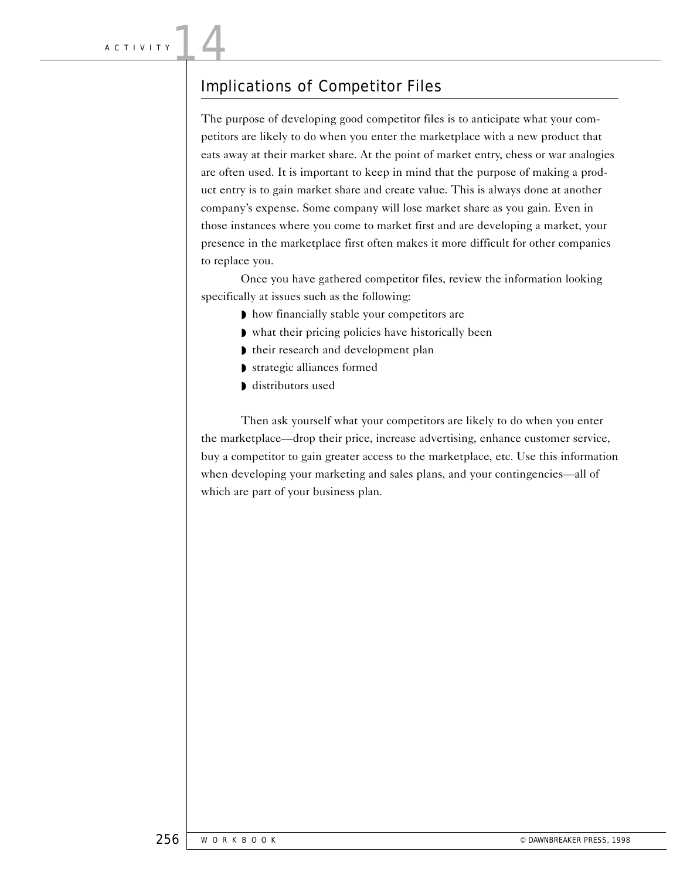# Implications of Competitor Files

The purpose of developing good competitor files is to anticipate what your competitors are likely to do when you enter the marketplace with a new product that eats away at their market share. At the point of market entry, chess or war analogies are often used. It is important to keep in mind that the purpose of making a product entry is to gain market share and create value. This is always done at another company's expense. Some company will lose market share as you gain. Even in those instances where you come to market first and are developing a market, your presence in the marketplace first often makes it more difficult for other companies to replace you.

Once you have gathered competitor files, review the information looking specifically at issues such as the following:

- ◗ how financially stable your competitors are
- ◗ what their pricing policies have historically been
- ◗ their research and development plan
- ◗ strategic alliances formed
- ◗ distributors used

Then ask yourself what your competitors are likely to do when you enter the marketplace—drop their price, increase advertising, enhance customer service, buy a competitor to gain greater access to the marketplace, etc. Use this information when developing your marketing and sales plans, and your contingencies—all of which are part of your business plan.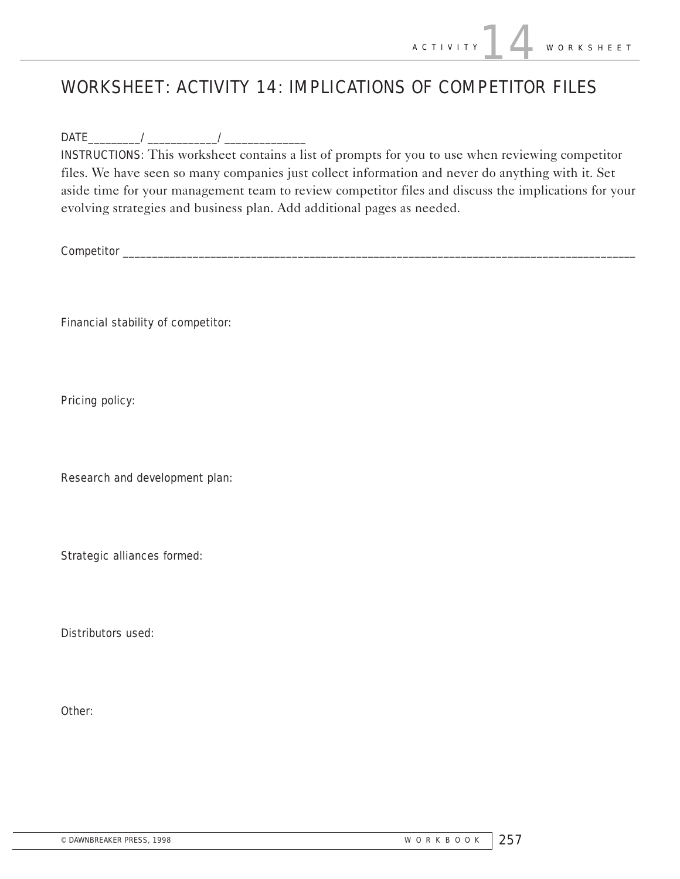# WORKSHEET: ACTIVITY 14: IMPLICATIONS OF COMPETITOR FILES

DATE\_\_\_\_\_\_\_\_\_/\_\_\_\_\_\_\_\_\_\_\_\_/\_\_\_\_\_\_\_\_\_\_\_\_\_\_

INSTRUCTIONS: This worksheet contains a list of prompts for you to use when reviewing competitor files. We have seen so many companies just collect information and never do anything with it. Set aside time for your management team to review competitor files and discuss the implications for your evolving strategies and business plan. Add additional pages as needed.

Competitor \_\_\_\_\_\_\_\_\_\_\_\_\_\_\_\_\_\_\_\_\_\_\_\_\_\_\_\_\_\_\_\_\_\_\_\_\_\_\_\_\_\_\_\_\_\_\_\_\_\_\_\_\_\_\_\_\_\_\_\_\_\_\_\_\_\_\_\_\_\_\_\_\_\_\_\_\_\_\_\_\_\_\_\_\_\_\_\_

Financial stability of competitor:

Pricing policy:

Research and development plan:

Strategic alliances formed:

Distributors used:

Other: